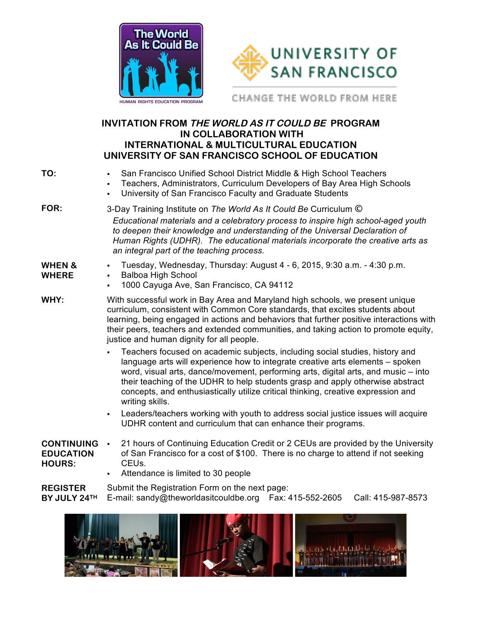



CHANGE THE WORLD FROM HERE

## **INVITATION FROM THE WORLD AS IT COULD BE PROGRAM IN COLLABORATION WITH INTERNATIONAL & MULTICULTURAL EDUCATION UNIVERSITY OF SAN FRANCISCO SCHOOL OF EDUCATION**

| TO:                                                    | • San Francisco Unified School District Middle & High School Teachers<br>Teachers, Administrators, Curriculum Developers of Bay Area High Schools<br>University of San Francisco Faculty and Graduate Students<br>$\blacksquare$                                                                                                                                                                                                               |  |  |
|--------------------------------------------------------|------------------------------------------------------------------------------------------------------------------------------------------------------------------------------------------------------------------------------------------------------------------------------------------------------------------------------------------------------------------------------------------------------------------------------------------------|--|--|
| FOR:                                                   | 3-Day Training Institute on The World As It Could Be Curriculum ©<br>Educational materials and a celebratory process to inspire high school-aged youth<br>to deepen their knowledge and understanding of the Universal Declaration of<br>Human Rights (UDHR). The educational materials incorporate the creative arts as<br>an integral part of the teaching process.                                                                          |  |  |
| <b>WHEN &amp;</b><br><b>WHERE</b>                      | Tuesday, Wednesday, Thursday: August 4 - 6, 2015, 9:30 a.m. - 4:30 p.m.<br><b>Balboa High School</b><br>$\blacksquare$<br>1000 Cayuga Ave, San Francisco, CA 94112                                                                                                                                                                                                                                                                             |  |  |
| WHY:                                                   | With successful work in Bay Area and Maryland high schools, we present unique<br>curriculum, consistent with Common Core standards, that excites students about<br>learning, being engaged in actions and behaviors that further positive interactions with<br>their peers, teachers and extended communities, and taking action to promote equity,<br>justice and human dignity for all people.                                               |  |  |
|                                                        | Teachers focused on academic subjects, including social studies, history and<br>language arts will experience how to integrate creative arts elements - spoken<br>word, visual arts, dance/movement, performing arts, digital arts, and music – into<br>their teaching of the UDHR to help students grasp and apply otherwise abstract<br>concepts, and enthusiastically utilize critical thinking, creative expression and<br>writing skills. |  |  |
|                                                        | Leaders/teachers working with youth to address social justice issues will acquire<br>UDHR content and curriculum that can enhance their programs.                                                                                                                                                                                                                                                                                              |  |  |
| <b>CONTINUING</b><br><b>EDUCATION</b><br><b>HOURS:</b> | 21 hours of Continuing Education Credit or 2 CEUs are provided by the University<br>$\blacksquare$<br>of San Francisco for a cost of \$100. There is no charge to attend if not seeking<br>CEU <sub>s.</sub><br>Attendence is limited to 20 needs                                                                                                                                                                                              |  |  |

! Attendance is limited to 30 people

**REGISTER BY JULY 24TH** E-mail: sandy@theworldasitcouldbe.org Fax: 415-552-2605 Call: 415-987-8573 Submit the Registration Form on the next page: